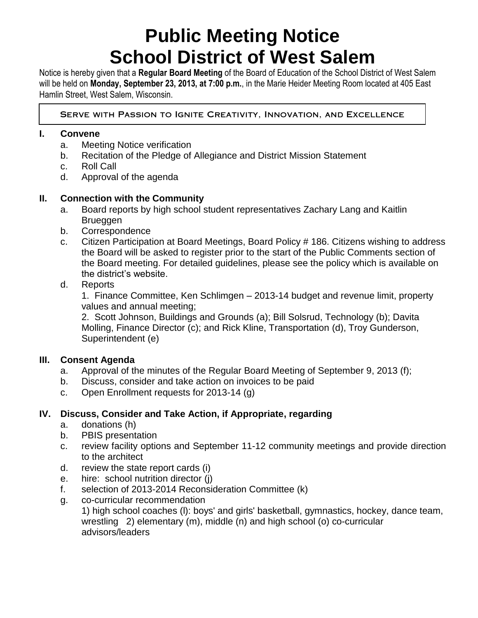# **Public Meeting Notice School District of West Salem**

Notice is hereby given that a **Regular Board Meeting** of the Board of Education of the School District of West Salem will be held on **Monday, September 23, 2013, at 7:00 p.m.**, in the Marie Heider Meeting Room located at 405 East Hamlin Street, West Salem, Wisconsin.

SERVE WITH PASSION TO IGNITE CREATIVITY, INNOVATION, AND EXCELLENCE

## **I. Convene**

- a. Meeting Notice verification
- b. Recitation of the Pledge of Allegiance and District Mission Statement
- c. Roll Call
- d. Approval of the agenda

## **II. Connection with the Community**

- a. Board reports by high school student representatives Zachary Lang and Kaitlin Brueggen
- b. Correspondence
- c. Citizen Participation at Board Meetings, Board Policy # 186. Citizens wishing to address the Board will be asked to register prior to the start of the Public Comments section of the Board meeting. For detailed guidelines, please see the policy which is available on the district's website.

#### d. Reports

1. Finance Committee, Ken Schlimgen – 2013-14 budget and revenue limit, property values and annual meeting;

2. Scott Johnson, Buildings and Grounds (a); Bill Solsrud, Technology (b); Davita Molling, Finance Director (c); and Rick Kline, Transportation (d), Troy Gunderson, Superintendent (e)

## **III. Consent Agenda**

- a. Approval of the minutes of the Regular Board Meeting of September 9, 2013 (f);
- b. Discuss, consider and take action on invoices to be paid
- c. Open Enrollment requests for 2013-14 (g)

## **IV. Discuss, Consider and Take Action, if Appropriate, regarding**

- a. donations (h)
- b. PBIS presentation
- c. review facility options and September 11-12 community meetings and provide direction to the architect
- d. review the state report cards (i)
- e. hire: school nutrition director (j)
- f. selection of 2013-2014 Reconsideration Committee (k)
- g. co-curricular recommendation

1) high school coaches (l): boys' and girls' basketball, gymnastics, hockey, dance team, wrestling 2) elementary (m), middle (n) and high school (o) co-curricular advisors/leaders